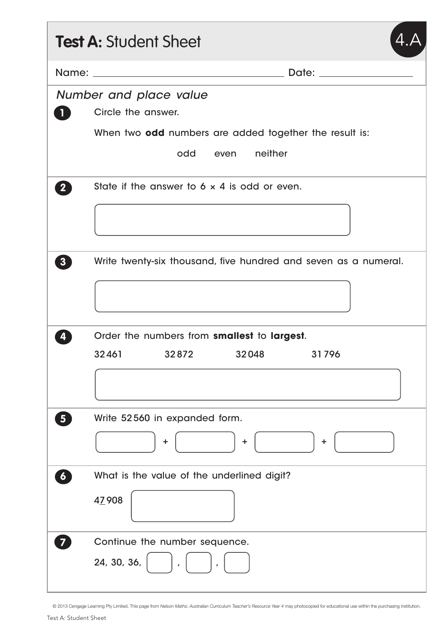|                         | <b>Test A: Student Sheet</b>                                              |  |  |  |  |  |
|-------------------------|---------------------------------------------------------------------------|--|--|--|--|--|
|                         | Date: <u>Date: Experience</u>                                             |  |  |  |  |  |
| <b>iv</b>               | Number and place value<br>Circle the answer.                              |  |  |  |  |  |
|                         | When two odd numbers are added together the result is:                    |  |  |  |  |  |
|                         | odd<br>even neither                                                       |  |  |  |  |  |
| $\overline{\mathbf{2}}$ | State if the answer to $6 \times 4$ is odd or even.                       |  |  |  |  |  |
|                         |                                                                           |  |  |  |  |  |
| 3 <sup>1</sup>          | Write twenty-six thousand, five hundred and seven as a numeral.           |  |  |  |  |  |
|                         | Order the numbers from smallest to largest.<br>32461 32872 32048<br>31796 |  |  |  |  |  |
|                         |                                                                           |  |  |  |  |  |
| 5 <sub>5</sub>          | Write 52560 in expanded form.<br>÷<br>÷<br>٠                              |  |  |  |  |  |
| $\boldsymbol{G}$        | What is the value of the underlined digit?                                |  |  |  |  |  |
|                         | 47908                                                                     |  |  |  |  |  |
|                         | Continue the number sequence.                                             |  |  |  |  |  |
|                         | 24, 30, 36,                                                               |  |  |  |  |  |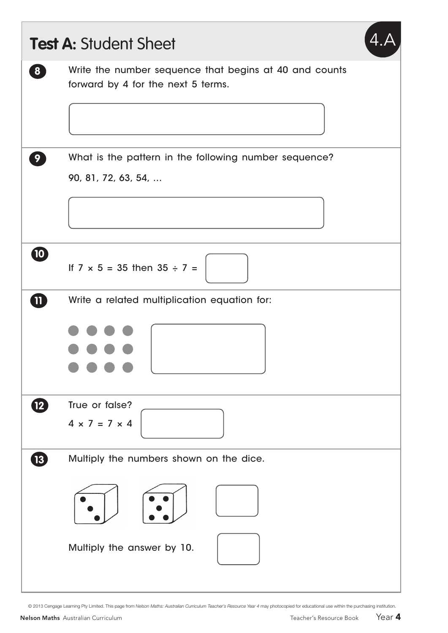| 8               | Write the number sequence that begins at 40 and counts |
|-----------------|--------------------------------------------------------|
|                 | forward by 4 for the next 5 terms.                     |
|                 |                                                        |
| 9 <sup>1</sup>  | What is the pattern in the following number sequence?  |
|                 | 90, 81, 72, 63, 54,                                    |
|                 |                                                        |
|                 |                                                        |
| $\bullet$       | If $7 \times 5 = 35$ then $35 \div 7 =$                |
| $\bf{m}$        | Write a related multiplication equation for:           |
|                 |                                                        |
|                 |                                                        |
|                 |                                                        |
| (12)            | True or false?                                         |
|                 | $4 \times 7 = 7 \times 4$                              |
| $\overline{13}$ | Multiply the numbers shown on the dice.                |
|                 |                                                        |
|                 | Multiply the answer by 10.                             |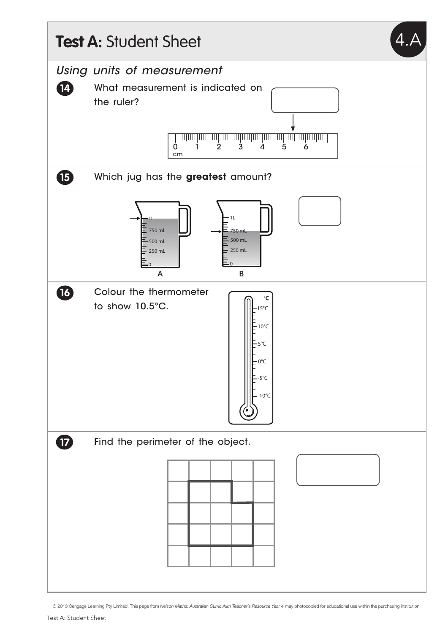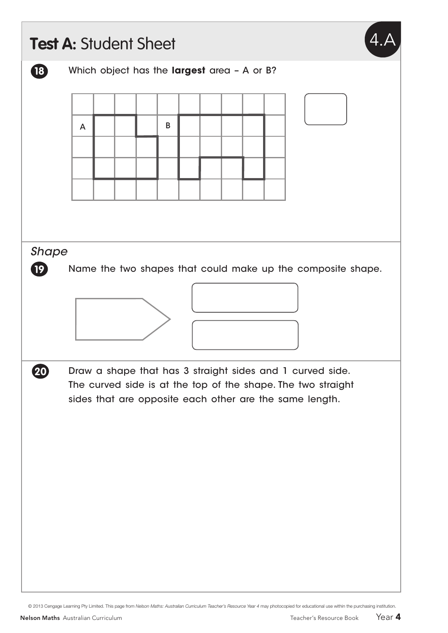|                 |   | Test A: Student Sheet                       |   |  |  |                                                                                                                         |  |  |  |
|-----------------|---|---------------------------------------------|---|--|--|-------------------------------------------------------------------------------------------------------------------------|--|--|--|
| $\overline{18}$ |   | Which object has the largest area - A or B? |   |  |  |                                                                                                                         |  |  |  |
|                 |   |                                             |   |  |  |                                                                                                                         |  |  |  |
|                 | A |                                             | B |  |  |                                                                                                                         |  |  |  |
|                 |   |                                             |   |  |  |                                                                                                                         |  |  |  |
|                 |   |                                             |   |  |  |                                                                                                                         |  |  |  |
|                 |   |                                             |   |  |  |                                                                                                                         |  |  |  |
|                 |   |                                             |   |  |  |                                                                                                                         |  |  |  |
| <b>Shape</b>    |   |                                             |   |  |  |                                                                                                                         |  |  |  |
| $\overline{19}$ |   |                                             |   |  |  | Name the two shapes that could make up the composite shape.                                                             |  |  |  |
|                 |   |                                             |   |  |  |                                                                                                                         |  |  |  |
|                 |   |                                             |   |  |  |                                                                                                                         |  |  |  |
|                 |   |                                             |   |  |  |                                                                                                                         |  |  |  |
| 20              |   |                                             |   |  |  | Draw a shape that has 3 straight sides and 1 curved side.                                                               |  |  |  |
|                 |   |                                             |   |  |  | The curved side is at the top of the shape. The two straight<br>sides that are opposite each other are the same length. |  |  |  |
|                 |   |                                             |   |  |  |                                                                                                                         |  |  |  |
|                 |   |                                             |   |  |  |                                                                                                                         |  |  |  |
|                 |   |                                             |   |  |  |                                                                                                                         |  |  |  |
|                 |   |                                             |   |  |  |                                                                                                                         |  |  |  |
|                 |   |                                             |   |  |  |                                                                                                                         |  |  |  |
|                 |   |                                             |   |  |  |                                                                                                                         |  |  |  |
|                 |   |                                             |   |  |  |                                                                                                                         |  |  |  |
|                 |   |                                             |   |  |  |                                                                                                                         |  |  |  |